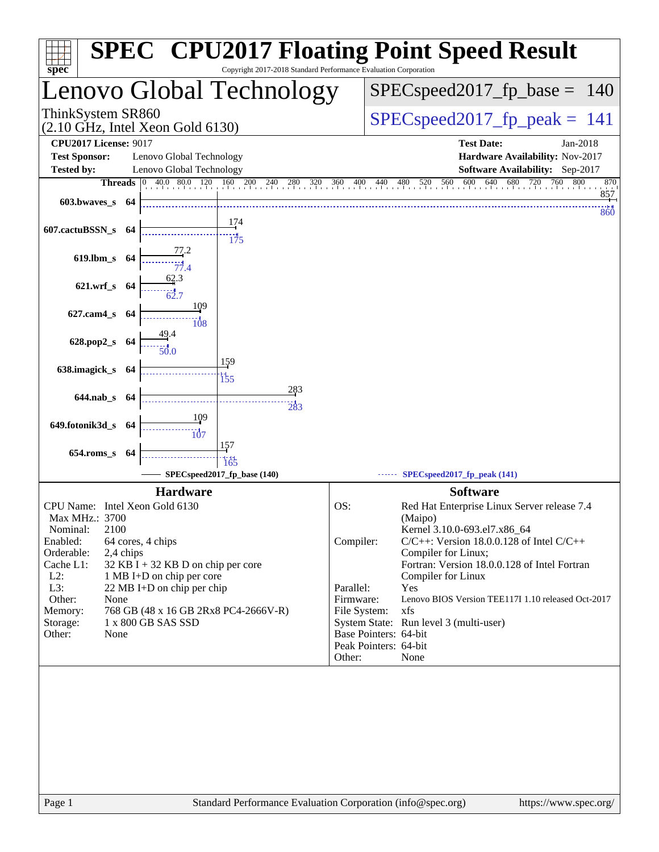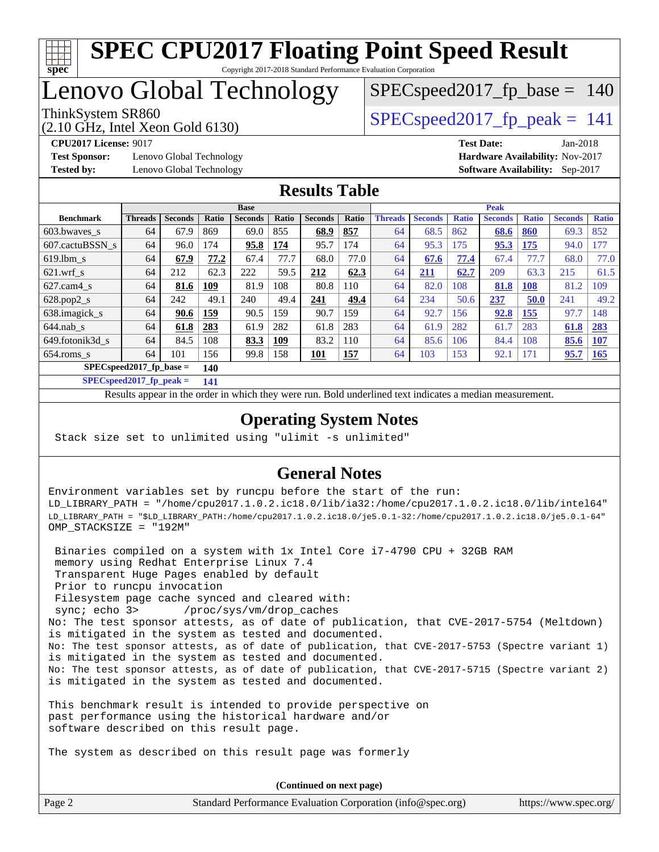

## Lenovo Global Technology

(2.10 GHz, Intel Xeon Gold 6130)

ThinkSystem SR860<br>  $SPEC speed2017$  fp\_peak = 141

SPECspeed2017 fp base  $= 140$ 

**[Test Sponsor:](http://www.spec.org/auto/cpu2017/Docs/result-fields.html#TestSponsor)** Lenovo Global Technology **[Hardware Availability:](http://www.spec.org/auto/cpu2017/Docs/result-fields.html#HardwareAvailability)** Nov-2017 **[Tested by:](http://www.spec.org/auto/cpu2017/Docs/result-fields.html#Testedby)** Lenovo Global Technology **[Software Availability:](http://www.spec.org/auto/cpu2017/Docs/result-fields.html#SoftwareAvailability)** Sep-2017

**[CPU2017 License:](http://www.spec.org/auto/cpu2017/Docs/result-fields.html#CPU2017License)** 9017 **[Test Date:](http://www.spec.org/auto/cpu2017/Docs/result-fields.html#TestDate)** Jan-2018

#### **[Results Table](http://www.spec.org/auto/cpu2017/Docs/result-fields.html#ResultsTable)**

|                           | <b>Base</b>    |                |       |                |       | <b>Peak</b>    |            |                |                |              |                |              |                |              |
|---------------------------|----------------|----------------|-------|----------------|-------|----------------|------------|----------------|----------------|--------------|----------------|--------------|----------------|--------------|
| <b>Benchmark</b>          | <b>Threads</b> | <b>Seconds</b> | Ratio | <b>Seconds</b> | Ratio | <b>Seconds</b> | Ratio      | <b>Threads</b> | <b>Seconds</b> | <b>Ratio</b> | <b>Seconds</b> | <b>Ratio</b> | <b>Seconds</b> | <b>Ratio</b> |
| 603.bwaves_s              | 64             | 67.9           | 869   | 69.0           | 855   | 68.9           | 857        | 64             | 68.5           | 862          | 68.6           | 860          | 69.3           | 852          |
| 607.cactuBSSN s           | 64             | 96.0           | 74    | 95.8           | 174   | 95.7           | 174        | 64             | 95.3           | 175          | 95.3           | 175          | 94.0           | 177          |
| $619.1$ bm s              | 64             | 67.9           | 77.2  | 67.4           | 77.7  | 68.0           | 77.0       | 64             | 67.6           | 77.4         | 67.4           | 77.7         | 68.0           | 77.0         |
| $621$ .wrf s              | 64             | 212            | 62.3  | 222            | 59.5  | 212            | 62.3       | 64             | <u> 211</u>    | 62.7         | 209            | 63.3         | 215            | 61.5         |
| $627$ .cam $4$ s          | 64             | 81.6           | 109   | 81.9           | 108   | 80.8           | 110        | 64             | 82.0           | 108          | 81.8           | 108          | 81.2           | 109          |
| $628.pop2_s$              | 64             | 242            | 49.1  | 240            | 49.4  | 241            | 49.4       | 64             | 234            | 50.6         | 237            | 50.0         | 241            | 49.2         |
| 638.imagick_s             | 64             | 90.6           | 159   | 90.5           | 159   | 90.7           | 159        | 64             | 92.7           | 156          | 92.8           | 155          | 97.7           | 148          |
| $644$ .nab s              | 64             | 61.8           | 283   | 61.9           | 282   | 61.8           | 283        | 64             | 61.9           | 282          | 61.7           | 283          | 61.8           | 283          |
| 649.fotonik3d s           | 64             | 84.5           | 108   | 83.3           | 109   | 83.2           | 110        | 64             | 85.6           | 106          | 84.4           | 108          | 85.6           | 107          |
| $654$ .roms s             | 64             | 101            | 156   | 99.8           | 158   | <u>101</u>     | <b>157</b> | 64             | 103            | 153          | 92.1           | 171          | 95.7           | 165          |
| $SPECspeed2017$ fp base = | 140            |                |       |                |       |                |            |                |                |              |                |              |                |              |

**[SPECspeed2017\\_fp\\_peak =](http://www.spec.org/auto/cpu2017/Docs/result-fields.html#SPECspeed2017fppeak) 141**

Results appear in the [order in which they were run.](http://www.spec.org/auto/cpu2017/Docs/result-fields.html#RunOrder) Bold underlined text [indicates a median measurement](http://www.spec.org/auto/cpu2017/Docs/result-fields.html#Median).

#### **[Operating System Notes](http://www.spec.org/auto/cpu2017/Docs/result-fields.html#OperatingSystemNotes)**

Stack size set to unlimited using "ulimit -s unlimited"

#### **[General Notes](http://www.spec.org/auto/cpu2017/Docs/result-fields.html#GeneralNotes)**

Environment variables set by runcpu before the start of the run: LD\_LIBRARY\_PATH = "/home/cpu2017.1.0.2.ic18.0/lib/ia32:/home/cpu2017.1.0.2.ic18.0/lib/intel64" LD\_LIBRARY\_PATH = "\$LD\_LIBRARY\_PATH:/home/cpu2017.1.0.2.ic18.0/je5.0.1-32:/home/cpu2017.1.0.2.ic18.0/je5.0.1-64" OMP\_STACKSIZE = "192M"

 Binaries compiled on a system with 1x Intel Core i7-4790 CPU + 32GB RAM memory using Redhat Enterprise Linux 7.4 Transparent Huge Pages enabled by default Prior to runcpu invocation Filesystem page cache synced and cleared with: sync; echo 3> /proc/sys/vm/drop\_caches No: The test sponsor attests, as of date of publication, that CVE-2017-5754 (Meltdown) is mitigated in the system as tested and documented. No: The test sponsor attests, as of date of publication, that CVE-2017-5753 (Spectre variant 1) is mitigated in the system as tested and documented. No: The test sponsor attests, as of date of publication, that CVE-2017-5715 (Spectre variant 2) is mitigated in the system as tested and documented.

This benchmark result is intended to provide perspective on past performance using the historical hardware and/or software described on this result page.

The system as described on this result page was formerly

Page 2 Standard Performance Evaluation Corporation [\(info@spec.org\)](mailto:info@spec.org) <https://www.spec.org/> **(Continued on next page)**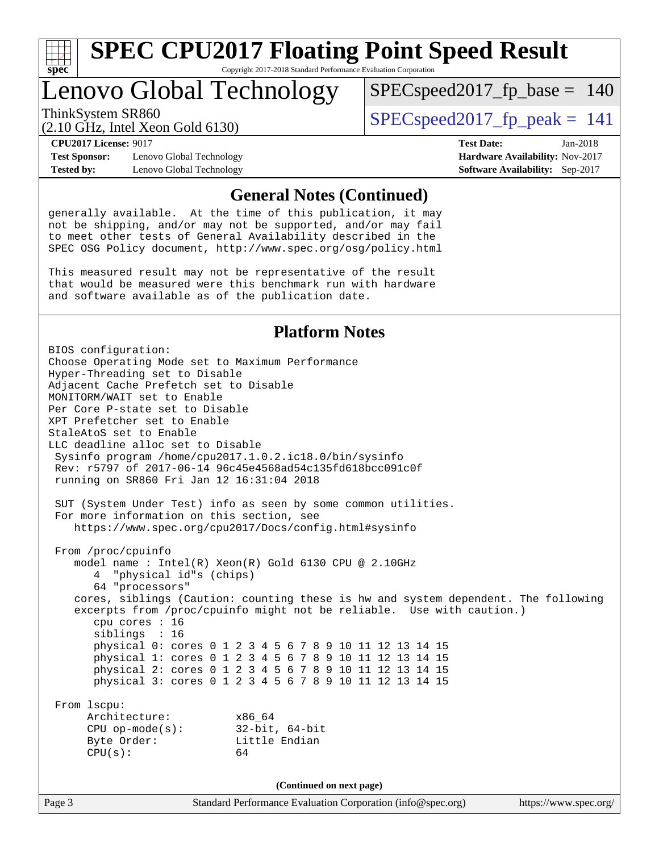

Copyright 2017-2018 Standard Performance Evaluation Corporation

## Lenovo Global Technology

 $SPEC speed2017_fp\_base = 140$ 

(2.10 GHz, Intel Xeon Gold 6130)

ThinkSystem SR860<br>  $SPEC speed2017$  [p\_peak = 141

**[Test Sponsor:](http://www.spec.org/auto/cpu2017/Docs/result-fields.html#TestSponsor)** Lenovo Global Technology **[Hardware Availability:](http://www.spec.org/auto/cpu2017/Docs/result-fields.html#HardwareAvailability)** Nov-2017 **[Tested by:](http://www.spec.org/auto/cpu2017/Docs/result-fields.html#Testedby)** Lenovo Global Technology **[Software Availability:](http://www.spec.org/auto/cpu2017/Docs/result-fields.html#SoftwareAvailability)** Sep-2017

**[CPU2017 License:](http://www.spec.org/auto/cpu2017/Docs/result-fields.html#CPU2017License)** 9017 **[Test Date:](http://www.spec.org/auto/cpu2017/Docs/result-fields.html#TestDate)** Jan-2018

#### **[General Notes \(Continued\)](http://www.spec.org/auto/cpu2017/Docs/result-fields.html#GeneralNotes)**

generally available. At the time of this publication, it may not be shipping, and/or may not be supported, and/or may fail to meet other tests of General Availability described in the SPEC OSG Policy document, <http://www.spec.org/osg/policy.html>

This measured result may not be representative of the result that would be measured were this benchmark run with hardware and software available as of the publication date.

#### **[Platform Notes](http://www.spec.org/auto/cpu2017/Docs/result-fields.html#PlatformNotes)**

Page 3 Standard Performance Evaluation Corporation [\(info@spec.org\)](mailto:info@spec.org) <https://www.spec.org/> BIOS configuration: Choose Operating Mode set to Maximum Performance Hyper-Threading set to Disable Adjacent Cache Prefetch set to Disable MONITORM/WAIT set to Enable Per Core P-state set to Disable XPT Prefetcher set to Enable StaleAtoS set to Enable LLC deadline alloc set to Disable Sysinfo program /home/cpu2017.1.0.2.ic18.0/bin/sysinfo Rev: r5797 of 2017-06-14 96c45e4568ad54c135fd618bcc091c0f running on SR860 Fri Jan 12 16:31:04 2018 SUT (System Under Test) info as seen by some common utilities. For more information on this section, see <https://www.spec.org/cpu2017/Docs/config.html#sysinfo> From /proc/cpuinfo model name : Intel(R) Xeon(R) Gold 6130 CPU @ 2.10GHz 4 "physical id"s (chips) 64 "processors" cores, siblings (Caution: counting these is hw and system dependent. The following excerpts from /proc/cpuinfo might not be reliable. Use with caution.) cpu cores : 16 siblings : 16 physical 0: cores 0 1 2 3 4 5 6 7 8 9 10 11 12 13 14 15 physical 1: cores 0 1 2 3 4 5 6 7 8 9 10 11 12 13 14 15 physical 2: cores 0 1 2 3 4 5 6 7 8 9 10 11 12 13 14 15 physical 3: cores 0 1 2 3 4 5 6 7 8 9 10 11 12 13 14 15 From lscpu: Architecture: x86\_64 CPU op-mode(s): 32-bit, 64-bit Byte Order: Little Endian  $CPU(s):$  64 **(Continued on next page)**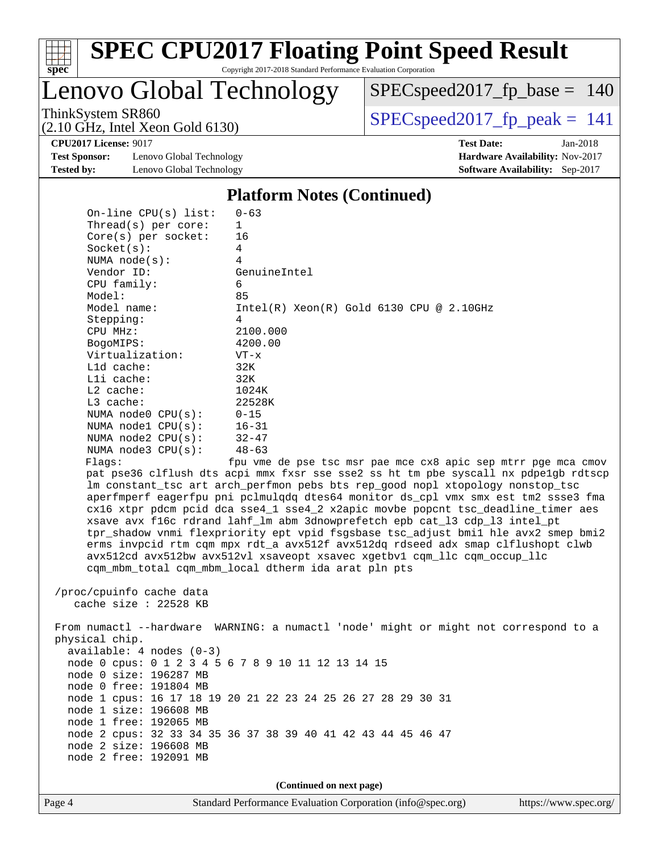

Copyright 2017-2018 Standard Performance Evaluation Corporation

Lenovo Global Technology

[SPECspeed2017\\_fp\\_base =](http://www.spec.org/auto/cpu2017/Docs/result-fields.html#SPECspeed2017fpbase) 140

(2.10 GHz, Intel Xeon Gold 6130)

 $SPEC speed2017_fp\_peak = 141$ 

**[CPU2017 License:](http://www.spec.org/auto/cpu2017/Docs/result-fields.html#CPU2017License)** 9017 **[Test Date:](http://www.spec.org/auto/cpu2017/Docs/result-fields.html#TestDate)** Jan-2018

**[Test Sponsor:](http://www.spec.org/auto/cpu2017/Docs/result-fields.html#TestSponsor)** Lenovo Global Technology **[Hardware Availability:](http://www.spec.org/auto/cpu2017/Docs/result-fields.html#HardwareAvailability)** Nov-2017 **[Tested by:](http://www.spec.org/auto/cpu2017/Docs/result-fields.html#Testedby)** Lenovo Global Technology **[Software Availability:](http://www.spec.org/auto/cpu2017/Docs/result-fields.html#SoftwareAvailability)** Sep-2017

#### **[Platform Notes \(Continued\)](http://www.spec.org/auto/cpu2017/Docs/result-fields.html#PlatformNotes)**

|                                                                                                                                                                                                                                                                                                                                                 | (Continued on next page)                                                                                                                                                                                                                                                                                                                                                                                                                                                                                                                                                                                                                                                                                                                                                                                                                                                                                                                                                                                               |
|-------------------------------------------------------------------------------------------------------------------------------------------------------------------------------------------------------------------------------------------------------------------------------------------------------------------------------------------------|------------------------------------------------------------------------------------------------------------------------------------------------------------------------------------------------------------------------------------------------------------------------------------------------------------------------------------------------------------------------------------------------------------------------------------------------------------------------------------------------------------------------------------------------------------------------------------------------------------------------------------------------------------------------------------------------------------------------------------------------------------------------------------------------------------------------------------------------------------------------------------------------------------------------------------------------------------------------------------------------------------------------|
| cache size $: 22528$ KB<br>physical chip.<br>$available: 4 nodes (0-3)$<br>node 0 size: 196287 MB<br>node 0 free: 191804 MB<br>node 1 size: 196608 MB<br>node 1 free: 192065 MB<br>node 2 size: 196608 MB<br>node 2 free: 192091 MB                                                                                                             | From numactl --hardware WARNING: a numactl 'node' might or might not correspond to a<br>node 0 cpus: 0 1 2 3 4 5 6 7 8 9 10 11 12 13 14 15<br>node 1 cpus: 16 17 18 19 20 21 22 23 24 25 26 27 28 29 30 31<br>node 2 cpus: 32 33 34 35 36 37 38 39 40 41 42 43 44 45 46 47                                                                                                                                                                                                                                                                                                                                                                                                                                                                                                                                                                                                                                                                                                                                             |
| Socket(s):<br>NUMA $node(s):$<br>Vendor ID:<br>CPU family:<br>Model:<br>Model name:<br>Stepping:<br>CPU MHz:<br>BogoMIPS:<br>Virtualization:<br>L1d cache:<br>$L1i$ cache:<br>L2 cache:<br>L3 cache:<br>NUMA $node0$ $CPU(s):$<br>NUMA $node1$ $CPU(s):$<br>NUMA $node2$ $CPU(s)$ :<br>NUMA node3 CPU(s):<br>Flags:<br>/proc/cpuinfo cache data | 4<br>4<br>GenuineIntel<br>6<br>85<br>$Intel(R) Xeon(R) Gold 6130 CPU @ 2.10GHz$<br>4<br>2100.000<br>4200.00<br>$VT - x$<br>32K<br>32K<br>1024K<br>22528K<br>$0 - 15$<br>$16 - 31$<br>$32 - 47$<br>$48 - 63$<br>fpu vme de pse tsc msr pae mce cx8 apic sep mtrr pge mca cmov<br>pat pse36 clflush dts acpi mmx fxsr sse sse2 ss ht tm pbe syscall nx pdpelgb rdtscp<br>lm constant_tsc art arch_perfmon pebs bts rep_good nopl xtopology nonstop_tsc<br>aperfmperf eagerfpu pni pclmulqdq dtes64 monitor ds_cpl vmx smx est tm2 ssse3 fma<br>cx16 xtpr pdcm pcid dca sse4_1 sse4_2 x2apic movbe popcnt tsc_deadline_timer aes<br>xsave avx f16c rdrand lahf_lm abm 3dnowprefetch epb cat_13 cdp_13 intel_pt<br>tpr_shadow vnmi flexpriority ept vpid fsgsbase tsc_adjust bmil hle avx2 smep bmi2<br>erms invpcid rtm cqm mpx rdt_a avx512f avx512dq rdseed adx smap clflushopt clwb<br>avx512cd avx512bw avx512vl xsaveopt xsavec xgetbvl cqm_llc cqm_occup_llc<br>cqm_mbm_total cqm_mbm_local dtherm ida arat pln pts |
| On-line $CPU(s)$ list:<br>Thread( $s$ ) per core:<br>$Core(s)$ per socket:                                                                                                                                                                                                                                                                      | $0 - 63$<br>1<br>16                                                                                                                                                                                                                                                                                                                                                                                                                                                                                                                                                                                                                                                                                                                                                                                                                                                                                                                                                                                                    |
|                                                                                                                                                                                                                                                                                                                                                 |                                                                                                                                                                                                                                                                                                                                                                                                                                                                                                                                                                                                                                                                                                                                                                                                                                                                                                                                                                                                                        |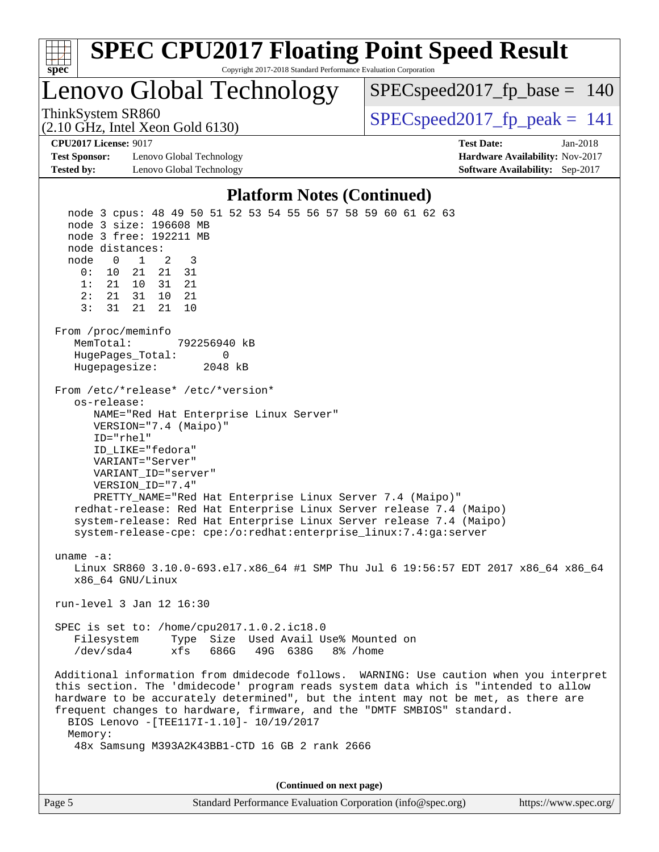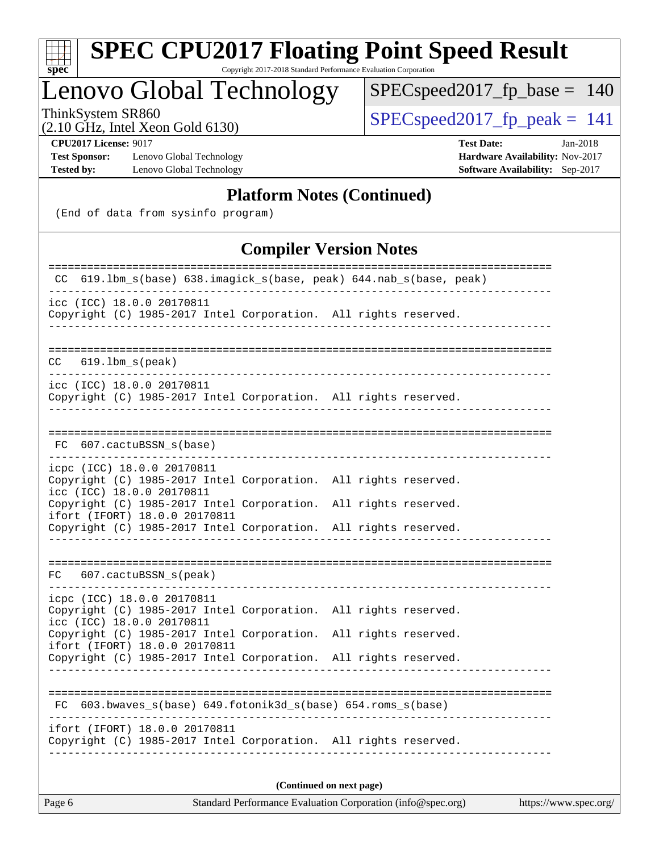| ч<br>e<br>ı.<br>c |  |  |  |  |  |  |
|-------------------|--|--|--|--|--|--|

Copyright 2017-2018 Standard Performance Evaluation Corporation

## Lenovo Global Technology

 $SPEC speed2017_fp\_base = 140$ 

(2.10 GHz, Intel Xeon Gold 6130)

ThinkSystem SR860<br>  $(2.10 \text{ GHz. Intel } X$  SPECspeed 2017 fp peak = 141

**[Test Sponsor:](http://www.spec.org/auto/cpu2017/Docs/result-fields.html#TestSponsor)** Lenovo Global Technology **[Hardware Availability:](http://www.spec.org/auto/cpu2017/Docs/result-fields.html#HardwareAvailability)** Nov-2017 **[Tested by:](http://www.spec.org/auto/cpu2017/Docs/result-fields.html#Testedby)** Lenovo Global Technology **[Software Availability:](http://www.spec.org/auto/cpu2017/Docs/result-fields.html#SoftwareAvailability)** Sep-2017

**[CPU2017 License:](http://www.spec.org/auto/cpu2017/Docs/result-fields.html#CPU2017License)** 9017 **[Test Date:](http://www.spec.org/auto/cpu2017/Docs/result-fields.html#TestDate)** Jan-2018

#### **[Platform Notes \(Continued\)](http://www.spec.org/auto/cpu2017/Docs/result-fields.html#PlatformNotes)**

(End of data from sysinfo program)

#### **[Compiler Version Notes](http://www.spec.org/auto/cpu2017/Docs/result-fields.html#CompilerVersionNotes)**

| ----------------------<br>---------<br>619.1bm_s(base) 638.imagick_s(base, peak) 644.nab_s(base, peak)<br>CC.                                                          |
|------------------------------------------------------------------------------------------------------------------------------------------------------------------------|
| icc (ICC) 18.0.0 20170811<br>Copyright (C) 1985-2017 Intel Corporation. All rights reserved.                                                                           |
| $619.1$ bm_s(peak)<br>CC                                                                                                                                               |
| icc (ICC) 18.0.0 20170811<br>Copyright (C) 1985-2017 Intel Corporation. All rights reserved.                                                                           |
| FC 607.cactuBSSN_s(base)                                                                                                                                               |
| icpc (ICC) 18.0.0 20170811<br>Copyright (C) 1985-2017 Intel Corporation. All rights reserved.<br>icc (ICC) 18.0.0 20170811                                             |
| Copyright (C) 1985-2017 Intel Corporation.<br>All rights reserved.<br>ifort (IFORT) 18.0.0 20170811<br>Copyright (C) 1985-2017 Intel Corporation. All rights reserved. |
|                                                                                                                                                                        |
| FC 607.cactuBSSN_s(peak)                                                                                                                                               |
| icpc (ICC) 18.0.0 20170811<br>Copyright (C) 1985-2017 Intel Corporation. All rights reserved.<br>icc (ICC) 18.0.0 20170811                                             |
| Copyright (C) 1985-2017 Intel Corporation.<br>All rights reserved.<br>ifort (IFORT) 18.0.0 20170811                                                                    |
| Copyright (C) 1985-2017 Intel Corporation.<br>All rights reserved.                                                                                                     |
| FC 603.bwaves_s(base) 649.fotonik3d_s(base) 654.roms_s(base)                                                                                                           |
| ifort (IFORT) 18.0.0 20170811<br>Copyright (C) 1985-2017 Intel Corporation. All rights reserved.                                                                       |
| (Continued on next page)                                                                                                                                               |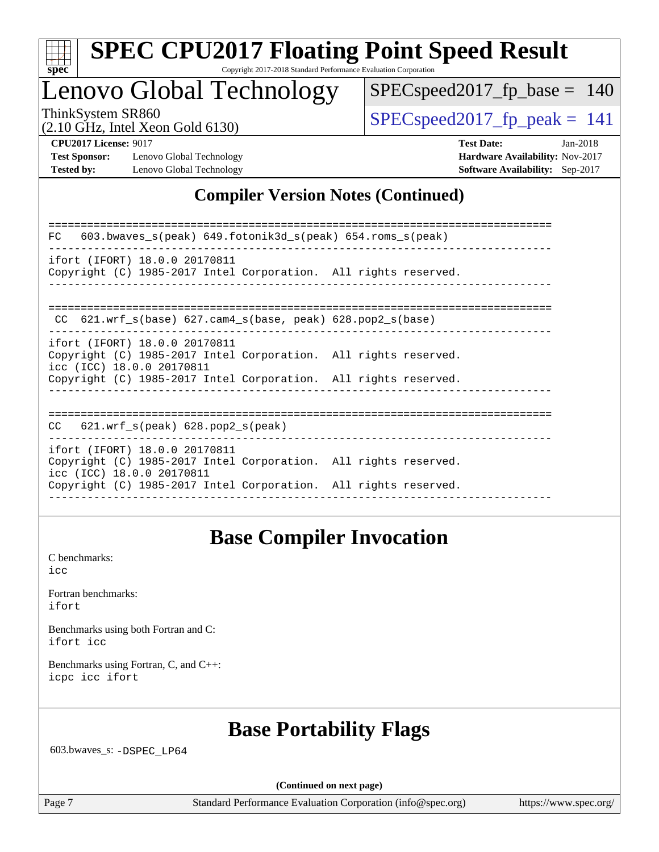

Copyright 2017-2018 Standard Performance Evaluation Corporation

## Lenovo Global Technology

SPECspeed2017 fp base  $= 140$ 

(2.10 GHz, Intel Xeon Gold 6130)

ThinkSystem SR860<br>  $SPEC speed2017$  fp\_peak = 141

**[Test Sponsor:](http://www.spec.org/auto/cpu2017/Docs/result-fields.html#TestSponsor)** Lenovo Global Technology **[Hardware Availability:](http://www.spec.org/auto/cpu2017/Docs/result-fields.html#HardwareAvailability)** Nov-2017 **[Tested by:](http://www.spec.org/auto/cpu2017/Docs/result-fields.html#Testedby)** Lenovo Global Technology **[Software Availability:](http://www.spec.org/auto/cpu2017/Docs/result-fields.html#SoftwareAvailability)** Sep-2017

**[CPU2017 License:](http://www.spec.org/auto/cpu2017/Docs/result-fields.html#CPU2017License)** 9017 **[Test Date:](http://www.spec.org/auto/cpu2017/Docs/result-fields.html#TestDate)** Jan-2018

#### **[Compiler Version Notes \(Continued\)](http://www.spec.org/auto/cpu2017/Docs/result-fields.html#CompilerVersionNotes)**

============================================================================== FC 603.bwaves\_s(peak) 649.fotonik3d\_s(peak) 654.roms\_s(peak) ----------------------------------------------------------------------------- ifort (IFORT) 18.0.0 20170811 Copyright (C) 1985-2017 Intel Corporation. All rights reserved. ------------------------------------------------------------------------------ ============================================================================== CC 621.wrf\_s(base) 627.cam4\_s(base, peak) 628.pop2\_s(base) ----------------------------------------------------------------------------- ifort (IFORT) 18.0.0 20170811 Copyright (C) 1985-2017 Intel Corporation. All rights reserved. icc (ICC) 18.0.0 20170811 Copyright (C) 1985-2017 Intel Corporation. All rights reserved. ------------------------------------------------------------------------------ ============================================================================== CC 621.wrf\_s(peak) 628.pop2\_s(peak) ----------------------------------------------------------------------------- ifort (IFORT) 18.0.0 20170811 Copyright (C) 1985-2017 Intel Corporation. All rights reserved. icc (ICC) 18.0.0 20170811 Copyright (C) 1985-2017 Intel Corporation. All rights reserved. ------------------------------------------------------------------------------

## **[Base Compiler Invocation](http://www.spec.org/auto/cpu2017/Docs/result-fields.html#BaseCompilerInvocation)**

[C benchmarks](http://www.spec.org/auto/cpu2017/Docs/result-fields.html#Cbenchmarks): [icc](http://www.spec.org/cpu2017/results/res2018q1/cpu2017-20180122-03014.flags.html#user_CCbase_intel_icc_18.0_66fc1ee009f7361af1fbd72ca7dcefbb700085f36577c54f309893dd4ec40d12360134090235512931783d35fd58c0460139e722d5067c5574d8eaf2b3e37e92)

|       | Fortran benchmarks: |
|-------|---------------------|
| ifort |                     |

[Benchmarks using both Fortran and C](http://www.spec.org/auto/cpu2017/Docs/result-fields.html#BenchmarksusingbothFortranandC): [ifort](http://www.spec.org/cpu2017/results/res2018q1/cpu2017-20180122-03014.flags.html#user_CC_FCbase_intel_ifort_18.0_8111460550e3ca792625aed983ce982f94888b8b503583aa7ba2b8303487b4d8a21a13e7191a45c5fd58ff318f48f9492884d4413fa793fd88dd292cad7027ca) [icc](http://www.spec.org/cpu2017/results/res2018q1/cpu2017-20180122-03014.flags.html#user_CC_FCbase_intel_icc_18.0_66fc1ee009f7361af1fbd72ca7dcefbb700085f36577c54f309893dd4ec40d12360134090235512931783d35fd58c0460139e722d5067c5574d8eaf2b3e37e92)

[Benchmarks using Fortran, C, and C++:](http://www.spec.org/auto/cpu2017/Docs/result-fields.html#BenchmarksusingFortranCandCXX) [icpc](http://www.spec.org/cpu2017/results/res2018q1/cpu2017-20180122-03014.flags.html#user_CC_CXX_FCbase_intel_icpc_18.0_c510b6838c7f56d33e37e94d029a35b4a7bccf4766a728ee175e80a419847e808290a9b78be685c44ab727ea267ec2f070ec5dc83b407c0218cded6866a35d07) [icc](http://www.spec.org/cpu2017/results/res2018q1/cpu2017-20180122-03014.flags.html#user_CC_CXX_FCbase_intel_icc_18.0_66fc1ee009f7361af1fbd72ca7dcefbb700085f36577c54f309893dd4ec40d12360134090235512931783d35fd58c0460139e722d5067c5574d8eaf2b3e37e92) [ifort](http://www.spec.org/cpu2017/results/res2018q1/cpu2017-20180122-03014.flags.html#user_CC_CXX_FCbase_intel_ifort_18.0_8111460550e3ca792625aed983ce982f94888b8b503583aa7ba2b8303487b4d8a21a13e7191a45c5fd58ff318f48f9492884d4413fa793fd88dd292cad7027ca)

## **[Base Portability Flags](http://www.spec.org/auto/cpu2017/Docs/result-fields.html#BasePortabilityFlags)**

603.bwaves\_s: [-DSPEC\\_LP64](http://www.spec.org/cpu2017/results/res2018q1/cpu2017-20180122-03014.flags.html#suite_basePORTABILITY603_bwaves_s_DSPEC_LP64)

**(Continued on next page)**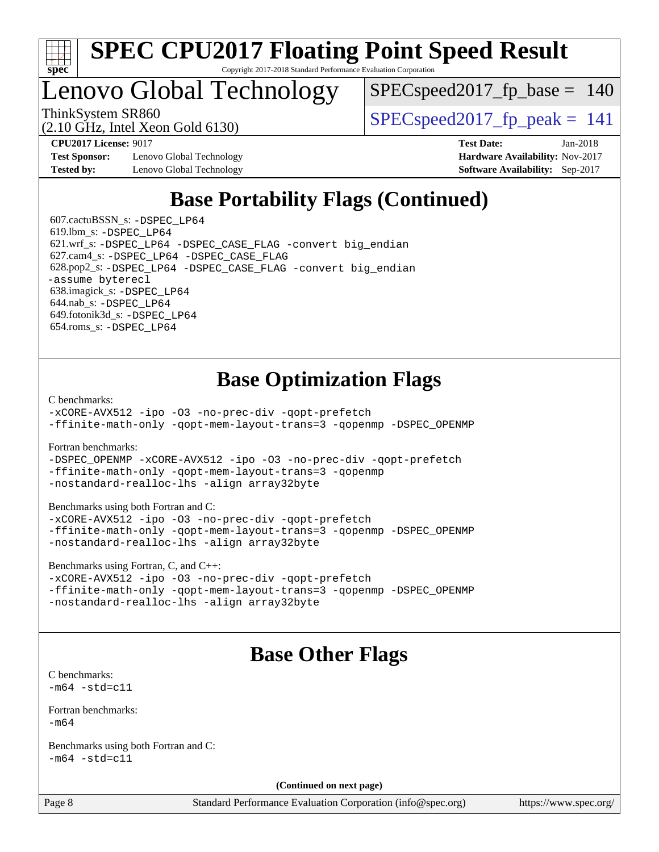

## Lenovo Global Technology

SPECspeed2017 fp base  $= 140$ 

(2.10 GHz, Intel Xeon Gold 6130)

ThinkSystem SR860<br>  $SPEC speed2017$  fp\_peak = 141

**[Test Sponsor:](http://www.spec.org/auto/cpu2017/Docs/result-fields.html#TestSponsor)** Lenovo Global Technology **[Hardware Availability:](http://www.spec.org/auto/cpu2017/Docs/result-fields.html#HardwareAvailability)** Nov-2017 **[Tested by:](http://www.spec.org/auto/cpu2017/Docs/result-fields.html#Testedby)** Lenovo Global Technology **[Software Availability:](http://www.spec.org/auto/cpu2017/Docs/result-fields.html#SoftwareAvailability)** Sep-2017

**[CPU2017 License:](http://www.spec.org/auto/cpu2017/Docs/result-fields.html#CPU2017License)** 9017 **[Test Date:](http://www.spec.org/auto/cpu2017/Docs/result-fields.html#TestDate)** Jan-2018

## **[Base Portability Flags \(Continued\)](http://www.spec.org/auto/cpu2017/Docs/result-fields.html#BasePortabilityFlags)**

 607.cactuBSSN\_s: [-DSPEC\\_LP64](http://www.spec.org/cpu2017/results/res2018q1/cpu2017-20180122-03014.flags.html#suite_basePORTABILITY607_cactuBSSN_s_DSPEC_LP64) 619.lbm\_s: [-DSPEC\\_LP64](http://www.spec.org/cpu2017/results/res2018q1/cpu2017-20180122-03014.flags.html#suite_basePORTABILITY619_lbm_s_DSPEC_LP64) 621.wrf\_s: [-DSPEC\\_LP64](http://www.spec.org/cpu2017/results/res2018q1/cpu2017-20180122-03014.flags.html#suite_basePORTABILITY621_wrf_s_DSPEC_LP64) [-DSPEC\\_CASE\\_FLAG](http://www.spec.org/cpu2017/results/res2018q1/cpu2017-20180122-03014.flags.html#b621.wrf_s_baseCPORTABILITY_DSPEC_CASE_FLAG) [-convert big\\_endian](http://www.spec.org/cpu2017/results/res2018q1/cpu2017-20180122-03014.flags.html#user_baseFPORTABILITY621_wrf_s_convert_big_endian_c3194028bc08c63ac5d04de18c48ce6d347e4e562e8892b8bdbdc0214820426deb8554edfa529a3fb25a586e65a3d812c835984020483e7e73212c4d31a38223) 627.cam4\_s: [-DSPEC\\_LP64](http://www.spec.org/cpu2017/results/res2018q1/cpu2017-20180122-03014.flags.html#suite_basePORTABILITY627_cam4_s_DSPEC_LP64) [-DSPEC\\_CASE\\_FLAG](http://www.spec.org/cpu2017/results/res2018q1/cpu2017-20180122-03014.flags.html#b627.cam4_s_baseCPORTABILITY_DSPEC_CASE_FLAG) 628.pop2\_s: [-DSPEC\\_LP64](http://www.spec.org/cpu2017/results/res2018q1/cpu2017-20180122-03014.flags.html#suite_basePORTABILITY628_pop2_s_DSPEC_LP64) [-DSPEC\\_CASE\\_FLAG](http://www.spec.org/cpu2017/results/res2018q1/cpu2017-20180122-03014.flags.html#b628.pop2_s_baseCPORTABILITY_DSPEC_CASE_FLAG) [-convert big\\_endian](http://www.spec.org/cpu2017/results/res2018q1/cpu2017-20180122-03014.flags.html#user_baseFPORTABILITY628_pop2_s_convert_big_endian_c3194028bc08c63ac5d04de18c48ce6d347e4e562e8892b8bdbdc0214820426deb8554edfa529a3fb25a586e65a3d812c835984020483e7e73212c4d31a38223) [-assume byterecl](http://www.spec.org/cpu2017/results/res2018q1/cpu2017-20180122-03014.flags.html#user_baseFPORTABILITY628_pop2_s_assume_byterecl_7e47d18b9513cf18525430bbf0f2177aa9bf368bc7a059c09b2c06a34b53bd3447c950d3f8d6c70e3faf3a05c8557d66a5798b567902e8849adc142926523472) 638.imagick\_s: [-DSPEC\\_LP64](http://www.spec.org/cpu2017/results/res2018q1/cpu2017-20180122-03014.flags.html#suite_basePORTABILITY638_imagick_s_DSPEC_LP64) 644.nab\_s: [-DSPEC\\_LP64](http://www.spec.org/cpu2017/results/res2018q1/cpu2017-20180122-03014.flags.html#suite_basePORTABILITY644_nab_s_DSPEC_LP64) 649.fotonik3d\_s: [-DSPEC\\_LP64](http://www.spec.org/cpu2017/results/res2018q1/cpu2017-20180122-03014.flags.html#suite_basePORTABILITY649_fotonik3d_s_DSPEC_LP64) 654.roms\_s: [-DSPEC\\_LP64](http://www.spec.org/cpu2017/results/res2018q1/cpu2017-20180122-03014.flags.html#suite_basePORTABILITY654_roms_s_DSPEC_LP64)

### **[Base Optimization Flags](http://www.spec.org/auto/cpu2017/Docs/result-fields.html#BaseOptimizationFlags)**

[C benchmarks](http://www.spec.org/auto/cpu2017/Docs/result-fields.html#Cbenchmarks):

[-xCORE-AVX512](http://www.spec.org/cpu2017/results/res2018q1/cpu2017-20180122-03014.flags.html#user_CCbase_f-xCORE-AVX512) [-ipo](http://www.spec.org/cpu2017/results/res2018q1/cpu2017-20180122-03014.flags.html#user_CCbase_f-ipo) [-O3](http://www.spec.org/cpu2017/results/res2018q1/cpu2017-20180122-03014.flags.html#user_CCbase_f-O3) [-no-prec-div](http://www.spec.org/cpu2017/results/res2018q1/cpu2017-20180122-03014.flags.html#user_CCbase_f-no-prec-div) [-qopt-prefetch](http://www.spec.org/cpu2017/results/res2018q1/cpu2017-20180122-03014.flags.html#user_CCbase_f-qopt-prefetch) [-ffinite-math-only](http://www.spec.org/cpu2017/results/res2018q1/cpu2017-20180122-03014.flags.html#user_CCbase_f_finite_math_only_cb91587bd2077682c4b38af759c288ed7c732db004271a9512da14a4f8007909a5f1427ecbf1a0fb78ff2a814402c6114ac565ca162485bbcae155b5e4258871) [-qopt-mem-layout-trans=3](http://www.spec.org/cpu2017/results/res2018q1/cpu2017-20180122-03014.flags.html#user_CCbase_f-qopt-mem-layout-trans_de80db37974c74b1f0e20d883f0b675c88c3b01e9d123adea9b28688d64333345fb62bc4a798493513fdb68f60282f9a726aa07f478b2f7113531aecce732043) [-qopenmp](http://www.spec.org/cpu2017/results/res2018q1/cpu2017-20180122-03014.flags.html#user_CCbase_qopenmp_16be0c44f24f464004c6784a7acb94aca937f053568ce72f94b139a11c7c168634a55f6653758ddd83bcf7b8463e8028bb0b48b77bcddc6b78d5d95bb1df2967) [-DSPEC\\_OPENMP](http://www.spec.org/cpu2017/results/res2018q1/cpu2017-20180122-03014.flags.html#suite_CCbase_DSPEC_OPENMP)

[Fortran benchmarks](http://www.spec.org/auto/cpu2017/Docs/result-fields.html#Fortranbenchmarks):

[-DSPEC\\_OPENMP](http://www.spec.org/cpu2017/results/res2018q1/cpu2017-20180122-03014.flags.html#suite_FCbase_DSPEC_OPENMP) [-xCORE-AVX512](http://www.spec.org/cpu2017/results/res2018q1/cpu2017-20180122-03014.flags.html#user_FCbase_f-xCORE-AVX512) [-ipo](http://www.spec.org/cpu2017/results/res2018q1/cpu2017-20180122-03014.flags.html#user_FCbase_f-ipo) [-O3](http://www.spec.org/cpu2017/results/res2018q1/cpu2017-20180122-03014.flags.html#user_FCbase_f-O3) [-no-prec-div](http://www.spec.org/cpu2017/results/res2018q1/cpu2017-20180122-03014.flags.html#user_FCbase_f-no-prec-div) [-qopt-prefetch](http://www.spec.org/cpu2017/results/res2018q1/cpu2017-20180122-03014.flags.html#user_FCbase_f-qopt-prefetch) [-ffinite-math-only](http://www.spec.org/cpu2017/results/res2018q1/cpu2017-20180122-03014.flags.html#user_FCbase_f_finite_math_only_cb91587bd2077682c4b38af759c288ed7c732db004271a9512da14a4f8007909a5f1427ecbf1a0fb78ff2a814402c6114ac565ca162485bbcae155b5e4258871) [-qopt-mem-layout-trans=3](http://www.spec.org/cpu2017/results/res2018q1/cpu2017-20180122-03014.flags.html#user_FCbase_f-qopt-mem-layout-trans_de80db37974c74b1f0e20d883f0b675c88c3b01e9d123adea9b28688d64333345fb62bc4a798493513fdb68f60282f9a726aa07f478b2f7113531aecce732043) [-qopenmp](http://www.spec.org/cpu2017/results/res2018q1/cpu2017-20180122-03014.flags.html#user_FCbase_qopenmp_16be0c44f24f464004c6784a7acb94aca937f053568ce72f94b139a11c7c168634a55f6653758ddd83bcf7b8463e8028bb0b48b77bcddc6b78d5d95bb1df2967) [-nostandard-realloc-lhs](http://www.spec.org/cpu2017/results/res2018q1/cpu2017-20180122-03014.flags.html#user_FCbase_f_2003_std_realloc_82b4557e90729c0f113870c07e44d33d6f5a304b4f63d4c15d2d0f1fab99f5daaed73bdb9275d9ae411527f28b936061aa8b9c8f2d63842963b95c9dd6426b8a) [-align array32byte](http://www.spec.org/cpu2017/results/res2018q1/cpu2017-20180122-03014.flags.html#user_FCbase_align_array32byte_b982fe038af199962ba9a80c053b8342c548c85b40b8e86eb3cc33dee0d7986a4af373ac2d51c3f7cf710a18d62fdce2948f201cd044323541f22fc0fffc51b6)

[Benchmarks using both Fortran and C](http://www.spec.org/auto/cpu2017/Docs/result-fields.html#BenchmarksusingbothFortranandC):

[-xCORE-AVX512](http://www.spec.org/cpu2017/results/res2018q1/cpu2017-20180122-03014.flags.html#user_CC_FCbase_f-xCORE-AVX512) [-ipo](http://www.spec.org/cpu2017/results/res2018q1/cpu2017-20180122-03014.flags.html#user_CC_FCbase_f-ipo) [-O3](http://www.spec.org/cpu2017/results/res2018q1/cpu2017-20180122-03014.flags.html#user_CC_FCbase_f-O3) [-no-prec-div](http://www.spec.org/cpu2017/results/res2018q1/cpu2017-20180122-03014.flags.html#user_CC_FCbase_f-no-prec-div) [-qopt-prefetch](http://www.spec.org/cpu2017/results/res2018q1/cpu2017-20180122-03014.flags.html#user_CC_FCbase_f-qopt-prefetch) [-ffinite-math-only](http://www.spec.org/cpu2017/results/res2018q1/cpu2017-20180122-03014.flags.html#user_CC_FCbase_f_finite_math_only_cb91587bd2077682c4b38af759c288ed7c732db004271a9512da14a4f8007909a5f1427ecbf1a0fb78ff2a814402c6114ac565ca162485bbcae155b5e4258871) [-qopt-mem-layout-trans=3](http://www.spec.org/cpu2017/results/res2018q1/cpu2017-20180122-03014.flags.html#user_CC_FCbase_f-qopt-mem-layout-trans_de80db37974c74b1f0e20d883f0b675c88c3b01e9d123adea9b28688d64333345fb62bc4a798493513fdb68f60282f9a726aa07f478b2f7113531aecce732043) [-qopenmp](http://www.spec.org/cpu2017/results/res2018q1/cpu2017-20180122-03014.flags.html#user_CC_FCbase_qopenmp_16be0c44f24f464004c6784a7acb94aca937f053568ce72f94b139a11c7c168634a55f6653758ddd83bcf7b8463e8028bb0b48b77bcddc6b78d5d95bb1df2967) [-DSPEC\\_OPENMP](http://www.spec.org/cpu2017/results/res2018q1/cpu2017-20180122-03014.flags.html#suite_CC_FCbase_DSPEC_OPENMP) [-nostandard-realloc-lhs](http://www.spec.org/cpu2017/results/res2018q1/cpu2017-20180122-03014.flags.html#user_CC_FCbase_f_2003_std_realloc_82b4557e90729c0f113870c07e44d33d6f5a304b4f63d4c15d2d0f1fab99f5daaed73bdb9275d9ae411527f28b936061aa8b9c8f2d63842963b95c9dd6426b8a) [-align array32byte](http://www.spec.org/cpu2017/results/res2018q1/cpu2017-20180122-03014.flags.html#user_CC_FCbase_align_array32byte_b982fe038af199962ba9a80c053b8342c548c85b40b8e86eb3cc33dee0d7986a4af373ac2d51c3f7cf710a18d62fdce2948f201cd044323541f22fc0fffc51b6)

[Benchmarks using Fortran, C, and C++:](http://www.spec.org/auto/cpu2017/Docs/result-fields.html#BenchmarksusingFortranCandCXX)

[-xCORE-AVX512](http://www.spec.org/cpu2017/results/res2018q1/cpu2017-20180122-03014.flags.html#user_CC_CXX_FCbase_f-xCORE-AVX512) [-ipo](http://www.spec.org/cpu2017/results/res2018q1/cpu2017-20180122-03014.flags.html#user_CC_CXX_FCbase_f-ipo) -03 [-no-prec-div](http://www.spec.org/cpu2017/results/res2018q1/cpu2017-20180122-03014.flags.html#user_CC_CXX_FCbase_f-no-prec-div) [-qopt-prefetch](http://www.spec.org/cpu2017/results/res2018q1/cpu2017-20180122-03014.flags.html#user_CC_CXX_FCbase_f-qopt-prefetch) [-ffinite-math-only](http://www.spec.org/cpu2017/results/res2018q1/cpu2017-20180122-03014.flags.html#user_CC_CXX_FCbase_f_finite_math_only_cb91587bd2077682c4b38af759c288ed7c732db004271a9512da14a4f8007909a5f1427ecbf1a0fb78ff2a814402c6114ac565ca162485bbcae155b5e4258871) [-qopt-mem-layout-trans=3](http://www.spec.org/cpu2017/results/res2018q1/cpu2017-20180122-03014.flags.html#user_CC_CXX_FCbase_f-qopt-mem-layout-trans_de80db37974c74b1f0e20d883f0b675c88c3b01e9d123adea9b28688d64333345fb62bc4a798493513fdb68f60282f9a726aa07f478b2f7113531aecce732043) [-qopenmp](http://www.spec.org/cpu2017/results/res2018q1/cpu2017-20180122-03014.flags.html#user_CC_CXX_FCbase_qopenmp_16be0c44f24f464004c6784a7acb94aca937f053568ce72f94b139a11c7c168634a55f6653758ddd83bcf7b8463e8028bb0b48b77bcddc6b78d5d95bb1df2967) [-DSPEC\\_OPENMP](http://www.spec.org/cpu2017/results/res2018q1/cpu2017-20180122-03014.flags.html#suite_CC_CXX_FCbase_DSPEC_OPENMP) [-nostandard-realloc-lhs](http://www.spec.org/cpu2017/results/res2018q1/cpu2017-20180122-03014.flags.html#user_CC_CXX_FCbase_f_2003_std_realloc_82b4557e90729c0f113870c07e44d33d6f5a304b4f63d4c15d2d0f1fab99f5daaed73bdb9275d9ae411527f28b936061aa8b9c8f2d63842963b95c9dd6426b8a) [-align array32byte](http://www.spec.org/cpu2017/results/res2018q1/cpu2017-20180122-03014.flags.html#user_CC_CXX_FCbase_align_array32byte_b982fe038af199962ba9a80c053b8342c548c85b40b8e86eb3cc33dee0d7986a4af373ac2d51c3f7cf710a18d62fdce2948f201cd044323541f22fc0fffc51b6)

### **[Base Other Flags](http://www.spec.org/auto/cpu2017/Docs/result-fields.html#BaseOtherFlags)**

[C benchmarks](http://www.spec.org/auto/cpu2017/Docs/result-fields.html#Cbenchmarks):  $-m64 - std = c11$  $-m64 - std = c11$ 

[Fortran benchmarks](http://www.spec.org/auto/cpu2017/Docs/result-fields.html#Fortranbenchmarks): [-m64](http://www.spec.org/cpu2017/results/res2018q1/cpu2017-20180122-03014.flags.html#user_FCbase_intel_intel64_18.0_af43caccfc8ded86e7699f2159af6efc7655f51387b94da716254467f3c01020a5059329e2569e4053f409e7c9202a7efc638f7a6d1ffb3f52dea4a3e31d82ab)

[Benchmarks using both Fortran and C](http://www.spec.org/auto/cpu2017/Docs/result-fields.html#BenchmarksusingbothFortranandC):  $-m64 - std= c11$  $-m64 - std= c11$ 

**(Continued on next page)**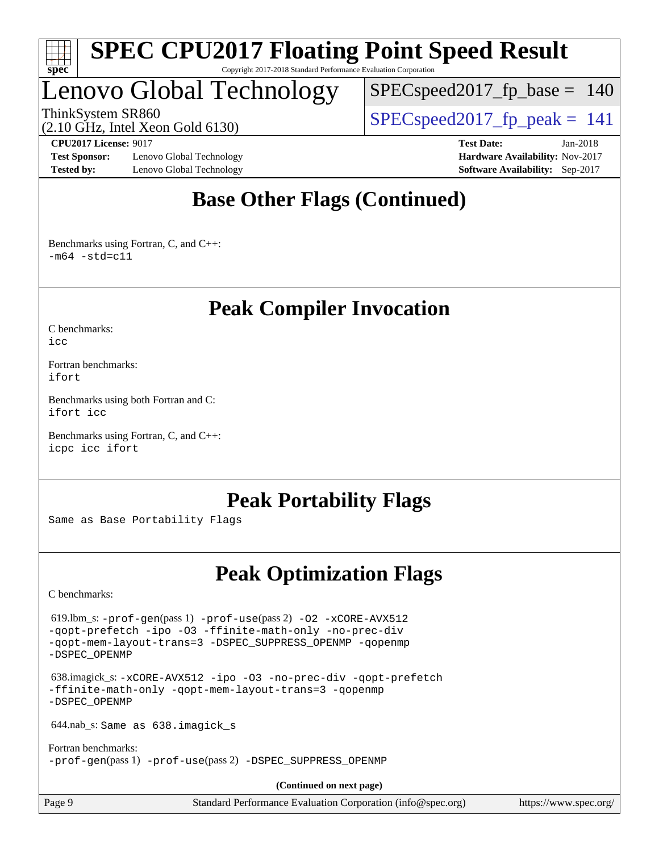

Lenovo Global Technology

 $SPEC speed2017_fp\_base = 140$ 

(2.10 GHz, Intel Xeon Gold 6130)

ThinkSystem SR860<br>  $SPEC speed2017$  fp\_peak = 141

**[Test Sponsor:](http://www.spec.org/auto/cpu2017/Docs/result-fields.html#TestSponsor)** Lenovo Global Technology **[Hardware Availability:](http://www.spec.org/auto/cpu2017/Docs/result-fields.html#HardwareAvailability)** Nov-2017 **[Tested by:](http://www.spec.org/auto/cpu2017/Docs/result-fields.html#Testedby)** Lenovo Global Technology **[Software Availability:](http://www.spec.org/auto/cpu2017/Docs/result-fields.html#SoftwareAvailability)** Sep-2017

**[CPU2017 License:](http://www.spec.org/auto/cpu2017/Docs/result-fields.html#CPU2017License)** 9017 **[Test Date:](http://www.spec.org/auto/cpu2017/Docs/result-fields.html#TestDate)** Jan-2018

## **[Base Other Flags \(Continued\)](http://www.spec.org/auto/cpu2017/Docs/result-fields.html#BaseOtherFlags)**

[Benchmarks using Fortran, C, and C++:](http://www.spec.org/auto/cpu2017/Docs/result-fields.html#BenchmarksusingFortranCandCXX)  $-m64 - std= c11$  $-m64 - std= c11$ 

## **[Peak Compiler Invocation](http://www.spec.org/auto/cpu2017/Docs/result-fields.html#PeakCompilerInvocation)**

[C benchmarks](http://www.spec.org/auto/cpu2017/Docs/result-fields.html#Cbenchmarks):

[icc](http://www.spec.org/cpu2017/results/res2018q1/cpu2017-20180122-03014.flags.html#user_CCpeak_intel_icc_18.0_66fc1ee009f7361af1fbd72ca7dcefbb700085f36577c54f309893dd4ec40d12360134090235512931783d35fd58c0460139e722d5067c5574d8eaf2b3e37e92)

[Fortran benchmarks](http://www.spec.org/auto/cpu2017/Docs/result-fields.html#Fortranbenchmarks): [ifort](http://www.spec.org/cpu2017/results/res2018q1/cpu2017-20180122-03014.flags.html#user_FCpeak_intel_ifort_18.0_8111460550e3ca792625aed983ce982f94888b8b503583aa7ba2b8303487b4d8a21a13e7191a45c5fd58ff318f48f9492884d4413fa793fd88dd292cad7027ca)

[Benchmarks using both Fortran and C](http://www.spec.org/auto/cpu2017/Docs/result-fields.html#BenchmarksusingbothFortranandC): [ifort](http://www.spec.org/cpu2017/results/res2018q1/cpu2017-20180122-03014.flags.html#user_CC_FCpeak_intel_ifort_18.0_8111460550e3ca792625aed983ce982f94888b8b503583aa7ba2b8303487b4d8a21a13e7191a45c5fd58ff318f48f9492884d4413fa793fd88dd292cad7027ca) [icc](http://www.spec.org/cpu2017/results/res2018q1/cpu2017-20180122-03014.flags.html#user_CC_FCpeak_intel_icc_18.0_66fc1ee009f7361af1fbd72ca7dcefbb700085f36577c54f309893dd4ec40d12360134090235512931783d35fd58c0460139e722d5067c5574d8eaf2b3e37e92)

[Benchmarks using Fortran, C, and C++:](http://www.spec.org/auto/cpu2017/Docs/result-fields.html#BenchmarksusingFortranCandCXX) [icpc](http://www.spec.org/cpu2017/results/res2018q1/cpu2017-20180122-03014.flags.html#user_CC_CXX_FCpeak_intel_icpc_18.0_c510b6838c7f56d33e37e94d029a35b4a7bccf4766a728ee175e80a419847e808290a9b78be685c44ab727ea267ec2f070ec5dc83b407c0218cded6866a35d07) [icc](http://www.spec.org/cpu2017/results/res2018q1/cpu2017-20180122-03014.flags.html#user_CC_CXX_FCpeak_intel_icc_18.0_66fc1ee009f7361af1fbd72ca7dcefbb700085f36577c54f309893dd4ec40d12360134090235512931783d35fd58c0460139e722d5067c5574d8eaf2b3e37e92) [ifort](http://www.spec.org/cpu2017/results/res2018q1/cpu2017-20180122-03014.flags.html#user_CC_CXX_FCpeak_intel_ifort_18.0_8111460550e3ca792625aed983ce982f94888b8b503583aa7ba2b8303487b4d8a21a13e7191a45c5fd58ff318f48f9492884d4413fa793fd88dd292cad7027ca)

### **[Peak Portability Flags](http://www.spec.org/auto/cpu2017/Docs/result-fields.html#PeakPortabilityFlags)**

Same as Base Portability Flags

## **[Peak Optimization Flags](http://www.spec.org/auto/cpu2017/Docs/result-fields.html#PeakOptimizationFlags)**

[C benchmarks](http://www.spec.org/auto/cpu2017/Docs/result-fields.html#Cbenchmarks):

 619.lbm\_s: [-prof-gen](http://www.spec.org/cpu2017/results/res2018q1/cpu2017-20180122-03014.flags.html#user_peakPASS1_CFLAGSPASS1_LDFLAGS619_lbm_s_prof_gen_5aa4926d6013ddb2a31985c654b3eb18169fc0c6952a63635c234f711e6e63dd76e94ad52365559451ec499a2cdb89e4dc58ba4c67ef54ca681ffbe1461d6b36)(pass 1) [-prof-use](http://www.spec.org/cpu2017/results/res2018q1/cpu2017-20180122-03014.flags.html#user_peakPASS2_CFLAGSPASS2_LDFLAGS619_lbm_s_prof_use_1a21ceae95f36a2b53c25747139a6c16ca95bd9def2a207b4f0849963b97e94f5260e30a0c64f4bb623698870e679ca08317ef8150905d41bd88c6f78df73f19)(pass 2) [-O2](http://www.spec.org/cpu2017/results/res2018q1/cpu2017-20180122-03014.flags.html#user_peakPASS1_COPTIMIZE619_lbm_s_f-O2) [-xCORE-AVX512](http://www.spec.org/cpu2017/results/res2018q1/cpu2017-20180122-03014.flags.html#user_peakPASS2_COPTIMIZE619_lbm_s_f-xCORE-AVX512) [-qopt-prefetch](http://www.spec.org/cpu2017/results/res2018q1/cpu2017-20180122-03014.flags.html#user_peakPASS1_COPTIMIZEPASS2_COPTIMIZE619_lbm_s_f-qopt-prefetch) [-ipo](http://www.spec.org/cpu2017/results/res2018q1/cpu2017-20180122-03014.flags.html#user_peakPASS2_COPTIMIZE619_lbm_s_f-ipo) [-O3](http://www.spec.org/cpu2017/results/res2018q1/cpu2017-20180122-03014.flags.html#user_peakPASS2_COPTIMIZE619_lbm_s_f-O3) [-ffinite-math-only](http://www.spec.org/cpu2017/results/res2018q1/cpu2017-20180122-03014.flags.html#user_peakPASS1_COPTIMIZEPASS2_COPTIMIZE619_lbm_s_f_finite_math_only_cb91587bd2077682c4b38af759c288ed7c732db004271a9512da14a4f8007909a5f1427ecbf1a0fb78ff2a814402c6114ac565ca162485bbcae155b5e4258871) [-no-prec-div](http://www.spec.org/cpu2017/results/res2018q1/cpu2017-20180122-03014.flags.html#user_peakPASS2_COPTIMIZE619_lbm_s_f-no-prec-div) [-qopt-mem-layout-trans=3](http://www.spec.org/cpu2017/results/res2018q1/cpu2017-20180122-03014.flags.html#user_peakPASS1_COPTIMIZEPASS2_COPTIMIZE619_lbm_s_f-qopt-mem-layout-trans_de80db37974c74b1f0e20d883f0b675c88c3b01e9d123adea9b28688d64333345fb62bc4a798493513fdb68f60282f9a726aa07f478b2f7113531aecce732043) [-DSPEC\\_SUPPRESS\\_OPENMP](http://www.spec.org/cpu2017/results/res2018q1/cpu2017-20180122-03014.flags.html#suite_peakPASS1_COPTIMIZE619_lbm_s_DSPEC_SUPPRESS_OPENMP) [-qopenmp](http://www.spec.org/cpu2017/results/res2018q1/cpu2017-20180122-03014.flags.html#user_peakPASS2_COPTIMIZE619_lbm_s_qopenmp_16be0c44f24f464004c6784a7acb94aca937f053568ce72f94b139a11c7c168634a55f6653758ddd83bcf7b8463e8028bb0b48b77bcddc6b78d5d95bb1df2967) [-DSPEC\\_OPENMP](http://www.spec.org/cpu2017/results/res2018q1/cpu2017-20180122-03014.flags.html#suite_peakPASS2_COPTIMIZE619_lbm_s_DSPEC_OPENMP)

 638.imagick\_s: [-xCORE-AVX512](http://www.spec.org/cpu2017/results/res2018q1/cpu2017-20180122-03014.flags.html#user_peakCOPTIMIZE638_imagick_s_f-xCORE-AVX512) [-ipo](http://www.spec.org/cpu2017/results/res2018q1/cpu2017-20180122-03014.flags.html#user_peakCOPTIMIZE638_imagick_s_f-ipo) [-O3](http://www.spec.org/cpu2017/results/res2018q1/cpu2017-20180122-03014.flags.html#user_peakCOPTIMIZE638_imagick_s_f-O3) [-no-prec-div](http://www.spec.org/cpu2017/results/res2018q1/cpu2017-20180122-03014.flags.html#user_peakCOPTIMIZE638_imagick_s_f-no-prec-div) [-qopt-prefetch](http://www.spec.org/cpu2017/results/res2018q1/cpu2017-20180122-03014.flags.html#user_peakCOPTIMIZE638_imagick_s_f-qopt-prefetch) [-ffinite-math-only](http://www.spec.org/cpu2017/results/res2018q1/cpu2017-20180122-03014.flags.html#user_peakCOPTIMIZE638_imagick_s_f_finite_math_only_cb91587bd2077682c4b38af759c288ed7c732db004271a9512da14a4f8007909a5f1427ecbf1a0fb78ff2a814402c6114ac565ca162485bbcae155b5e4258871) [-qopt-mem-layout-trans=3](http://www.spec.org/cpu2017/results/res2018q1/cpu2017-20180122-03014.flags.html#user_peakCOPTIMIZE638_imagick_s_f-qopt-mem-layout-trans_de80db37974c74b1f0e20d883f0b675c88c3b01e9d123adea9b28688d64333345fb62bc4a798493513fdb68f60282f9a726aa07f478b2f7113531aecce732043) [-qopenmp](http://www.spec.org/cpu2017/results/res2018q1/cpu2017-20180122-03014.flags.html#user_peakCOPTIMIZE638_imagick_s_qopenmp_16be0c44f24f464004c6784a7acb94aca937f053568ce72f94b139a11c7c168634a55f6653758ddd83bcf7b8463e8028bb0b48b77bcddc6b78d5d95bb1df2967) [-DSPEC\\_OPENMP](http://www.spec.org/cpu2017/results/res2018q1/cpu2017-20180122-03014.flags.html#suite_peakCOPTIMIZE638_imagick_s_DSPEC_OPENMP)

644.nab\_s: Same as 638.imagick\_s

[Fortran benchmarks](http://www.spec.org/auto/cpu2017/Docs/result-fields.html#Fortranbenchmarks): [-prof-gen](http://www.spec.org/cpu2017/results/res2018q1/cpu2017-20180122-03014.flags.html#user_FCpeak_prof_gen_5aa4926d6013ddb2a31985c654b3eb18169fc0c6952a63635c234f711e6e63dd76e94ad52365559451ec499a2cdb89e4dc58ba4c67ef54ca681ffbe1461d6b36)(pass 1) [-prof-use](http://www.spec.org/cpu2017/results/res2018q1/cpu2017-20180122-03014.flags.html#user_FCpeak_prof_use_1a21ceae95f36a2b53c25747139a6c16ca95bd9def2a207b4f0849963b97e94f5260e30a0c64f4bb623698870e679ca08317ef8150905d41bd88c6f78df73f19)(pass 2) [-DSPEC\\_SUPPRESS\\_OPENMP](http://www.spec.org/cpu2017/results/res2018q1/cpu2017-20180122-03014.flags.html#suite_FCpeak_DSPEC_SUPPRESS_OPENMP)

**(Continued on next page)**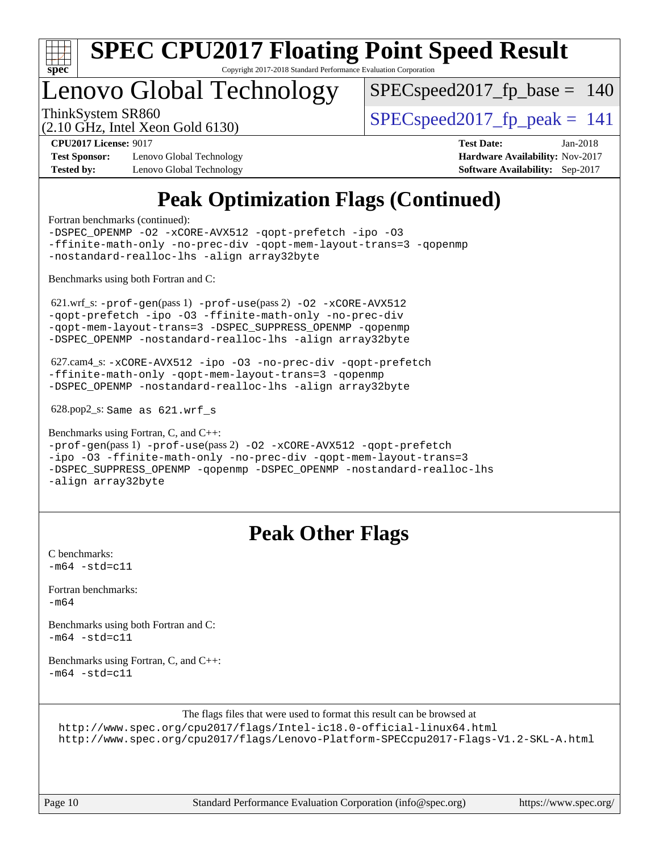

## Lenovo Global Technology

 $SPEC speed2017_fp\_base = 140$ 

(2.10 GHz, Intel Xeon Gold 6130)

ThinkSystem SR860<br>  $SPEC speed2017$  fp\_peak = 141

**[CPU2017 License:](http://www.spec.org/auto/cpu2017/Docs/result-fields.html#CPU2017License)** 9017 **[Test Date:](http://www.spec.org/auto/cpu2017/Docs/result-fields.html#TestDate)** Jan-2018

**[Test Sponsor:](http://www.spec.org/auto/cpu2017/Docs/result-fields.html#TestSponsor)** Lenovo Global Technology **[Hardware Availability:](http://www.spec.org/auto/cpu2017/Docs/result-fields.html#HardwareAvailability)** Nov-2017 **[Tested by:](http://www.spec.org/auto/cpu2017/Docs/result-fields.html#Testedby)** Lenovo Global Technology **[Software Availability:](http://www.spec.org/auto/cpu2017/Docs/result-fields.html#SoftwareAvailability)** Sep-2017

## **[Peak Optimization Flags \(Continued\)](http://www.spec.org/auto/cpu2017/Docs/result-fields.html#PeakOptimizationFlags)**

[Fortran benchmarks](http://www.spec.org/auto/cpu2017/Docs/result-fields.html#Fortranbenchmarks) (continued):

```
-DSPEC_OPENMP -O2 -xCORE-AVX512 -qopt-prefetch -ipo -O3
-ffinite-math-only -no-prec-div -qopt-mem-layout-trans=3 -qopenmp
-nostandard-realloc-lhs -align array32byte
Benchmarks using both Fortran and C: 
 621.wrf_s: -prof-gen(pass 1) -prof-use(pass 2) -O2 -xCORE-AVX512
-qopt-prefetch -ipo -O3 -ffinite-math-only -no-prec-div
-qopt-mem-layout-trans=3 -DSPEC_SUPPRESS_OPENMP -qopenmp
-DSPEC_OPENMP -nostandard-realloc-lhs -align array32byte
 627.cam4_s: -xCORE-AVX512 -ipo -O3 -no-prec-div -qopt-prefetch
-ffinite-math-only -qopt-mem-layout-trans=3 -qopenmp
-DSPEC_OPENMP -nostandard-realloc-lhs -align array32byte
 628.pop2_s: Same as 621.wrf_s
Benchmarks using Fortran, C, and C++: 
-prof-gen(pass 1) -prof-use(pass 2) -O2 -xCORE-AVX512 -qopt-prefetch
-ipo -O3 -ffinite-math-only -no-prec-div -qopt-mem-layout-trans=3
-DSPEC_SUPPRESS_OPENMP -qopenmp -DSPEC_OPENMP -nostandard-realloc-lhs
-align array32byte
```
### **[Peak Other Flags](http://www.spec.org/auto/cpu2017/Docs/result-fields.html#PeakOtherFlags)**

[C benchmarks](http://www.spec.org/auto/cpu2017/Docs/result-fields.html#Cbenchmarks):  $-m64 - std = c11$  $-m64 - std = c11$ 

[Fortran benchmarks](http://www.spec.org/auto/cpu2017/Docs/result-fields.html#Fortranbenchmarks): [-m64](http://www.spec.org/cpu2017/results/res2018q1/cpu2017-20180122-03014.flags.html#user_FCpeak_intel_intel64_18.0_af43caccfc8ded86e7699f2159af6efc7655f51387b94da716254467f3c01020a5059329e2569e4053f409e7c9202a7efc638f7a6d1ffb3f52dea4a3e31d82ab)

[Benchmarks using both Fortran and C](http://www.spec.org/auto/cpu2017/Docs/result-fields.html#BenchmarksusingbothFortranandC):  $-m64$   $-std=cl1$ 

[Benchmarks using Fortran, C, and C++:](http://www.spec.org/auto/cpu2017/Docs/result-fields.html#BenchmarksusingFortranCandCXX)  $-m64$   $-std=cl1$ 

The flags files that were used to format this result can be browsed at

<http://www.spec.org/cpu2017/flags/Intel-ic18.0-official-linux64.html>

<http://www.spec.org/cpu2017/flags/Lenovo-Platform-SPECcpu2017-Flags-V1.2-SKL-A.html>